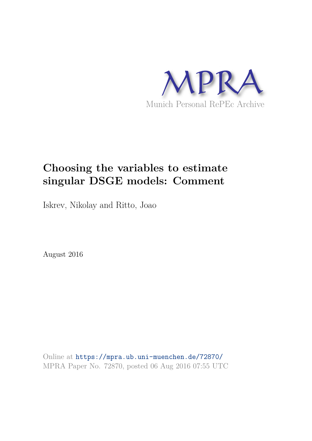

# **Choosing the variables to estimate singular DSGE models: Comment**

Iskrev, Nikolay and Ritto, Joao

August 2016

Online at https://mpra.ub.uni-muenchen.de/72870/ MPRA Paper No. 72870, posted 06 Aug 2016 07:55 UTC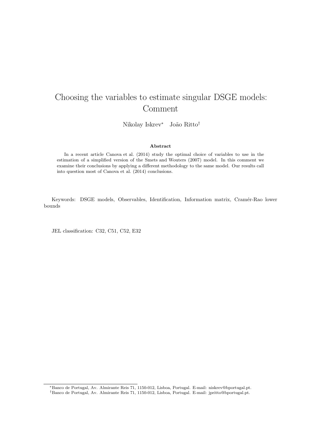## Choosing the variables to estimate singular DSGE models: Comment

Nikolay Iskrev<sup>∗</sup> João Ritto<sup>†</sup>

#### Abstract

In a recent article Canova et al. (2014) study the optimal choice of variables to use in the estimation of a simplified version of the Smets and Wouters (2007) model. In this comment we examine their conclusions by applying a different methodology to the same model. Our results call into question most of Canova et al. (2014) conclusions.

Keywords: DSGE models, Observables, Identification, Information matrix, Cramér-Rao lower bounds

JEL classification: C32, C51, C52, E32

<sup>∗</sup>Banco de Portugal, Av. Almirante Reis 71, 1150-012, Lisboa, Portugal. E-mail: niskrev@bportugal.pt. †Banco de Portugal, Av. Almirante Reis 71, 1150-012, Lisboa, Portugal. E-mail: jpritto@bportugal.pt.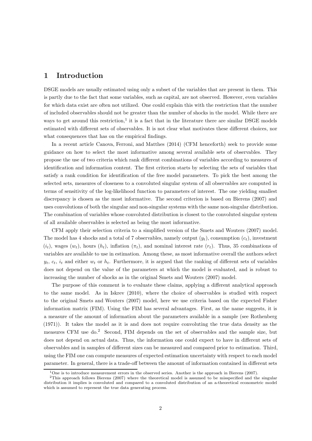### 1 Introduction

DSGE models are usually estimated using only a subset of the variables that are present in them. This is partly due to the fact that some variables, such as capital, are not observed. However, even variables for which data exist are often not utilized. One could explain this with the restriction that the number of included observables should not be greater than the number of shocks in the model. While there are ways to get around this restriction,<sup>1</sup> it is a fact that in the literature there are similar DSGE models estimated with different sets of observables. It is not clear what motivates these different choices, nor what consequences that has on the empirical findings.

In a recent article Canova, Ferroni, and Matthes (2014) (CFM henceforth) seek to provide some guidance on how to select the most informative among several available sets of observables. They propose the use of two criteria which rank different combinations of variables according to measures of identification and information content. The first criterion starts by selecting the sets of variables that satisfy a rank condition for identification of the free model parameters. To pick the best among the selected sets, measures of closeness to a convoluted singular system of all observables are computed in terms of sensitivity of the log-likelihood function to parameters of interest. The one yielding smallest discrepancy is chosen as the most informative. The second criterion is based on Bierens (2007) and uses convolutions of both the singular and non-singular systems with the same non-singular distribution. The combination of variables whose convoluted distribution is closest to the convoluted singular system of all available observables is selected as being the most informative.

CFM apply their selection criteria to a simplified version of the Smets and Wouters (2007) model. The model has 4 shocks and a total of 7 observables, namely output  $(y_t)$ , consumption  $(c_t)$ , investment  $(i_t)$ , wages  $(w_t)$ , hours  $(h_t)$ , inflation  $(\pi_t)$ , and nominal interest rate  $(r_t)$ . Thus, 35 combinations of variables are available to use in estimation. Among these, as most informative overall the authors select  $y_t$ ,  $c_t$ ,  $i_t$  and either  $w_t$  or  $h_t$ . Furthermore, it is argued that the ranking of different sets of variables does not depend on the value of the parameters at which the model is evaluated, and is robust to increasing the number of shocks as in the original Smets and Wouters (2007) model.

The purpose of this comment is to evaluate these claims, applying a different analytical approach to the same model. As in Iskrev (2010), where the choice of observables is studied with respect to the original Smets and Wouters (2007) model, here we use criteria based on the expected Fisher information matrix (FIM). Using the FIM has several advantages. First, as the name suggests, it is a measure of the amount of information about the parameters available in a sample (see Rothenberg (1971)). It takes the model as it is and does not require convoluting the true data density as the measures CFM use do.<sup>2</sup> Second, FIM depends on the set of observables and the sample size, but does not depend on actual data. Thus, the information one could expect to have in different sets of observables and in samples of different sizes can be measured and compared prior to estimation. Third, using the FIM one can compute measures of expected estimation uncertainty with respect to each model parameter. In general, there is a trade-off between the amount of information contained in different sets

<sup>&</sup>lt;sup>1</sup>One is to introduce measurement errors in the observed series. Another is the approach in Bierens (2007).

<sup>&</sup>lt;sup>2</sup>This approach follows Bierens (2007) where the theoretical model is assumed to be misspecified and the singular distribution it implies is convoluted and compared to a convoluted distribution of an a-theoretical econometric model which is assumed to represent the true data generating process.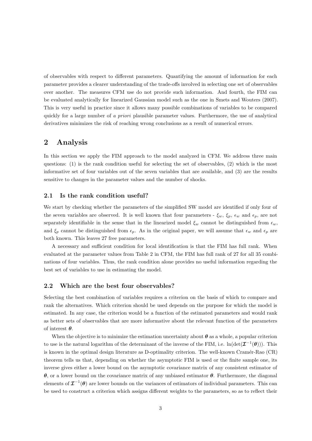of observables with respect to different parameters. Quantifying the amount of information for each parameter provides a clearer understanding of the trade-offs involved in selecting one set of observables over another. The measures CFM use do not provide such information. And fourth, the FIM can be evaluated analytically for linearized Gaussian model such as the one in Smets and Wouters (2007). This is very useful in practice since it allows many possible combinations of variables to be compared quickly for a large number of a priori plausible parameter values. Furthermore, the use of analytical derivatives minimizes the risk of reaching wrong conclusions as a result of numerical errors.

## 2 Analysis

In this section we apply the FIM approach to the model analyzed in CFM. We address three main questions: (1) is the rank condition useful for selecting the set of observables, (2) which is the most informative set of four variables out of the seven variables that are available, and (3) are the results sensitive to changes in the parameter values and the number of shocks.

#### 2.1 Is the rank condition useful?

We start by checking whether the parameters of the simplified SW model are identified if only four of the seven variables are observed. It is well known that four parameters -  $\xi_w$ ,  $\xi_p$ ,  $\epsilon_w$  and  $\epsilon_p$ , are not separately identifiable in the sense that in the linearized model  $\xi_w$  cannot be distinguished from  $\epsilon_w$ , and  $\xi_p$  cannot be distinguished from  $\epsilon_p$ . As in the original paper, we will assume that  $\epsilon_w$  and  $\epsilon_p$  are both known. This leaves 27 free parameters.

A necessary and sufficient condition for local identification is that the FIM has full rank. When evaluated at the parameter values from Table 2 in CFM, the FIM has full rank of 27 for all 35 combinations of four variables. Thus, the rank condition alone provides no useful information regarding the best set of variables to use in estimating the model.

#### 2.2 Which are the best four observables?

Selecting the best combination of variables requires a criterion on the basis of which to compare and rank the alternatives. Which criterion should be used depends on the purpose for which the model is estimated. In any case, the criterion would be a function of the estimated parameters and would rank as better sets of observables that are more informative about the relevant function of the parameters of interest  $\boldsymbol{\theta}$ .

When the objective is to minimize the estimation uncertainty about  $\theta$  as a whole, a popular criterion to use is the natural logarithm of the determinant of the inverse of the FIM, i.e.  $\ln(\det(\mathcal{I}^{-1}(\theta)))$ . This is known in the optimal design literature as D-optimality criterion. The well-known Cramér-Rao (CR) theorem tells us that, depending on whether the asymptotic FIM is used or the finite sample one, its inverse gives either a lower bound on the asymptotic covariance matrix of any consistent estimator of θ, or a lower bound on the covariance matrix of any unbiased estimator θ. Furthermore, the diagonal elements of  $\mathcal{I}^{-1}(\theta)$  are lower bounds on the variances of estimators of individual parameters. This can be used to construct a criterion which assigns different weights to the parameters, so as to reflect their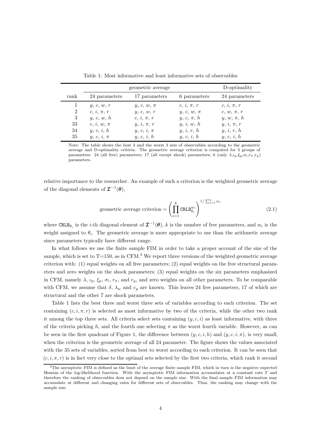|                |                | D-optimality   |                |                |
|----------------|----------------|----------------|----------------|----------------|
| rank           | 24 parameters  | 17 parameters  | 6 parameters   | 24 parameters  |
|                | y, c, w, r     | $y, c, w, \pi$ | $c, i, \pi, r$ | $c, i, \pi, r$ |
| $\overline{2}$ | $c, i, \pi, r$ | y, c, w, r     | $y, c, w, \pi$ | $c, w, \pi, r$ |
| 3              | y, c, w, h     | $c, i, \pi, r$ | $y, c, \pi, h$ | $y, w, \pi, h$ |
| 33             | $c, i, w, \pi$ | $y, i, \pi, r$ | y, i, w, h     | $y, i, \pi, r$ |
| 34             | y, c, i, h     | $y, c, i, \pi$ | y, i, r, h     | y, i, r, h     |
| 35             | $y, c, i, \pi$ | y, c, i, h     | y, c, i, h     | y, c, i, h     |

Table 1: Most informative and least informative sets of observables

Note: The table shows the best 3 and the worst 3 sets of observables according to the geometric average and D-optimality criteria. The geometric average criterion is computed for 3 groups of parameters: 24 (all free) parameters; 17 (all except shock) parameters; 6 (only  $\lambda, \iota_p, \xi_p, \sigma_l, r_\pi, r_y$ ) parameters.

relative importance to the researcher. An example of such a criterion is the weighted geometric average of the diagonal elements of  $\mathcal{I}^{-1}(\theta)$ ,

geometric average criterion = 
$$
\left(\prod_{i=1}^{k} \text{CRLB}_{\theta_i}^{w_i}\right)^{1/\sum_{i=1}^{k} w_i}
$$
 (2.1)

where CRLB<sub> $\theta_i$ </sub> is the *i*-th diagonal element of  $\mathcal{I}^{-1}(\theta)$ , *k* is the number of free parameters, and  $w_i$  is the weight assigned to  $\theta_i$ . The geometric average is more appropriate to use than the arithmetic average since parameters typically have different range.

In what follows we use the finite sample FIM in order to take a proper account of the size of the sample, which is set to  $T=150$ , as in CFM.<sup>3</sup> We report three versions of the weighted geometric average criterion with: (1) equal weights on all free parameters; (2) equal weights on the free structural parameters and zero weights on the shock parameters; (3) equal weights on the six parameters emphasized in CFM, namely  $\lambda$ ,  $\iota_p$ ,  $\xi_p$ ,  $\sigma_l$ ,  $r_\pi$ , and  $r_y$ , and zero weights on all other parameters. To be comparable with CFM, we assume that  $\delta$ ,  $\lambda_w$  and  $c_g$  are known. This leaves 24 free parameters, 17 of which are structural and the other 7 are shock parameters.

Table 1 lists the best three and worst three sets of variables according to each criterion. The set containing  $(c, i, \pi, r)$  is selected as most informative by two of the criteria, while the other two rank it among the top three sets. All criteria select sets containing  $(y, c, i)$  as least informative, with three of the criteria picking h, and the fourth one selecting  $\pi$  as the worst fourth variable. However, as can be seen in the first quadrant of Figure 1, the difference between  $(y, c, i, h)$  and  $(y, c, i, \pi)$ , is very small, when the criterion is the geometric average of all 24 parameter. The figure shows the values associated with the 35 sets of variables, sorted from best to worst according to each criterion. It can be seen that  $(c, i, \pi, r)$  is in fact very close to the optimal sets selected by the first two criteria, which rank it second

<sup>3</sup>The asymptotic FIM is defined as the limit of the average finite sample FIM, which in turn is the negative expected Hessian of the log-likelihood function. With the asymptotic FIM information accumulates at a constant rate T and therefore the ranking of observables does not depend on the sample size. With the final sample FIM information may accumulate at different and changing rates for different sets of observables. Thus, the ranking may change with the sample size.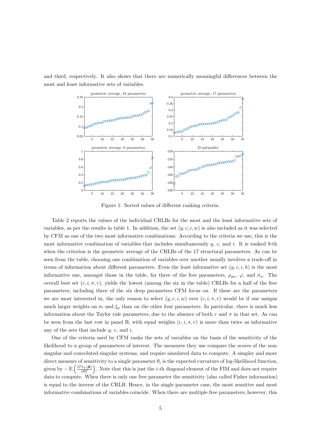

and third, respectively. It also shows that there are numerically meaningful differences between the most and least informative sets of variables.

Figure 1: Sorted values of different ranking criteria.

Table 2 reports the values of the individual CRLBs for the most and the least informative sets of variables, as per the results in table 1. In addition, the set  $(y, c, i, w)$  is also included as it was selected by CFM as one of the two most informative combinations. According to the criteria we use, this is the most informative combination of variables that includes simultaneously  $y$ , c, and i. It is ranked 9-th when the criterion is the geometric average of the CRLBs of the 17 structural parameters. As can be seen from the table, choosing one combination of variables over another usually involves a trade-off in terms of information about different parameters. Even the least informative set  $(y, c, i, h)$  is the most informative one, amongst those in the table, for three of the free parameters,  $\rho_{ga}$ ,  $\varphi$ , and  $\sigma_a$ . The overall best set  $(c, i, \pi, r)$ , yields the lowest (among the six in the table) CRLBs for a half of the free parameters, including three of the six deep parameters CFM focus on. If these are the parameters we are most interested in, the only reason to select  $(y, c, i, w)$  over  $(c, i, \pi, r)$  would be if one assigns much larger weights on  $\sigma_l$  and  $\xi_p$  than on the other four parameters. In particular, there is much less information about the Taylor rule parameters, due to the absence of both r and  $\pi$  in that set. As can be seen from the last row in panel B, with equal weights  $(c, i, \pi, r)$  is more than twice as informative any of the sets that include  $y, c$ , and  $i$ .

One of the criteria used by CFM ranks the sets of variables on the basis of the sensitivity of the likelihood to a group of parameters of interest. The measures they use compare the scores of the nonsingular and convoluted singular systems, and require simulated data to compute. A simpler and more direct measure of sensitivity to a single parameter  $\theta_i$  is the expected curvature of log-likelihood function, given by  $-\mathrm{E}\left(\frac{\partial^2 \ell_T(\boldsymbol{\theta})}{\partial \theta^2}\right)$  $\frac{\ell_T(\theta)}{\partial \theta_i^2}$ . Note that this is just the *i*-th diagonal element of the FIM and does not require data to compute. When there is only one free parameter the sensitivity (also called Fisher information) is equal to the inverse of the CRLB. Hence, in the single parameter case, the most sensitive and most informative combinations of variables coincide. When there are multiple free parameters, however, this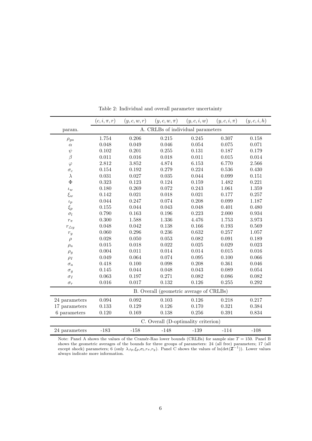|                   | $(c, i, \pi, r)$ | (y, c, w, r) | $(y, c, w, \pi)$                        | (y, c, i, w) | $(y,c,i,\pi)$ | (y, c, i, h) |  |
|-------------------|------------------|--------------|-----------------------------------------|--------------|---------------|--------------|--|
| param.            |                  |              | A. CRLBs of individual parameters       |              |               |              |  |
| $\rho_{ga}$       | 1.754            | 0.206        | 0.215                                   | 0.245        | 0.307         | 0.158        |  |
| $\alpha$          | 0.048            | 0.049        | 0.046                                   | 0.054        | 0.075         | 0.071        |  |
| $\psi$            | 0.102            | 0.201        | 0.255                                   | 0.131        | 0.187         | 0.179        |  |
| $\beta$           | 0.011            | 0.016        | 0.018                                   | 0.011        | $\,0.015\,$   | 0.014        |  |
| $\varphi$         | 2.812            | 3.852        | 4.874                                   | 6.153        | 6.770         | 2.566        |  |
| $\sigma_c$        | 0.154            | 0.192        | 0.279                                   | 0.224        | 0.536         | 0.430        |  |
| $\lambda$         | 0.031            | 0.027        | 0.035                                   | 0.044        | 0.099         | 0.151        |  |
| $\Phi$            | 0.323            | 0.123        | 0.124                                   | 0.159        | 1.482         | 0.221        |  |
| $\iota_w$         | 0.180            | 0.269        | 0.072                                   | 0.243        | 1.061         | 1.359        |  |
| $\xi_w$           | $0.142\,$        | 0.021        | 0.018                                   | 0.021        | 0.177         | 0.257        |  |
| $\iota_p$         | 0.044            | 0.247        | 0.074                                   | 0.208        | 0.099         | 1.187        |  |
| $\xi_p$           | 0.155            | 0.044        | 0.043                                   | 0.048        | 0.401         | 0.480        |  |
| $\sigma_l$        | 0.790            | 0.163        | 0.196                                   | 0.223        | 2.000         | 0.934        |  |
| $r_\pi$           | 0.300            | 1.588        | 1.336                                   | 4.476        | 1.753         | 3.973        |  |
| $r_{\triangle y}$ | 0.048            | 0.042        | 0.138                                   | 0.166        | 0.193         | 0.569        |  |
| $r_{\it y}$       | 0.060            | 0.296        | 0.236                                   | 0.632        | 0.257         | 1.057        |  |
| $\rho$            | 0.028            | 0.050        | 0.053                                   | 0.082        | 0.091         | 0.189        |  |
| $\rho_a$          | $\,0.015\,$      | 0.018        | 0.022                                   | 0.025        | 0.029         | 0.023        |  |
| $\rho_g$          | 0.004            | 0.011        | 0.014                                   | 0.014        | $\,0.015\,$   | 0.016        |  |
| $\rho_I$          | 0.049            | 0.064        | 0.074                                   | $\,0.095\,$  | 0.100         | 0.066        |  |
| $\sigma_a$        | 0.418            | 0.100        | 0.098                                   | 0.208        | 0.361         | 0.046        |  |
| $\sigma_g$        | 0.145            | 0.044        | 0.048                                   | 0.043        | 0.089         | 0.054        |  |
| $\sigma_I$        | 0.063            | 0.197        | 0.271                                   | 0.082        | 0.086         | 0.082        |  |
| $\sigma_r$        | 0.016            | 0.017        | 0.132                                   | 0.126        | 0.255         | 0.292        |  |
|                   |                  |              | B. Overall (geometric average of CRLBs) |              |               |              |  |
| 24 parameters     | 0.094            | 0.092        | 0.103                                   | 0.126        | 0.218         | 0.217        |  |
| 17 parameters     | 0.133            | 0.129        | 0.126                                   | 0.170        | 0.321         | 0.384        |  |
| 6 parameters      | 0.120            | 0.169        | 0.138                                   | 0.256        | 0.391         | 0.834        |  |
|                   |                  |              | C. Overall (D-optimality criterion)     |              |               |              |  |
| 24 parameters     | $-183$           | $-158$       | $-148$                                  | $-139$       | $-114$        | $-108$       |  |

Table 2: Individual and overall parameter uncertainty

Note: Panel A shows the values of the Cramér-Rao lower bounds (CRLBs) for sample size  $T = 150$ . Panel B shows the geometric averages of the bounds for three groups of parameters: 24 (all free) parameters; 17 (all except shock) parameters; 6 (only  $\lambda, \iota_p, \xi_p, \sigma_l, r_\pi, r_y$ ). Panel C shows the values of  $\ln(\det(\mathbf{I}^{-1}))$ . Lower values always indicate more information.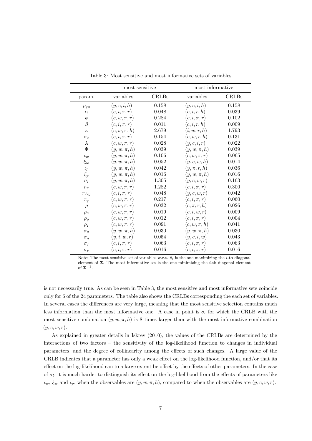|                   | most sensitive   |              | most informative |       |
|-------------------|------------------|--------------|------------------|-------|
| param.            | variables        | <b>CRLBs</b> | variables        | CRLBs |
| $\rho_{ga}$       | (y,c,i,h)        | 0.158        | (y,c,i,h)        | 0.158 |
| $\alpha$          | $(c, i, \pi, r)$ | 0.048        | (c, i, r, h)     | 0.039 |
| $\psi$            | $(c, w, \pi, r)$ | 0.284        | $(c, i, \pi, r)$ | 0.102 |
| $\beta$           | $(c, i, \pi, r)$ | 0.011        | (c, i, r, h)     | 0.009 |
| $\varphi$         | $(c, w, \pi, h)$ | 2.679        | (i, w, r, h)     | 1.793 |
| $\sigma_c$        | $(c, i, \pi, r)$ | 0.154        | (c, w, r, h)     | 0.131 |
| $\lambda$         | $(c, w, \pi, r)$ | 0.028        | (y, c, i, r)     | 0.022 |
| $\Phi$            | $(y, w, \pi, h)$ | 0.039        | $(y, w, \pi, h)$ | 0.039 |
| $\iota_w$         | $(y, w, \pi, h)$ | 0.106        | $(c, w, \pi, r)$ | 0.065 |
| $\xi_w$           | $(y, w, \pi, h)$ | 0.052        | (y, c, w, h)     | 0.014 |
| $\iota_p$         | $(y, w, \pi, h)$ | 0.042        | $(y, \pi, r, h)$ | 0.036 |
| $\xi_p$           | $(y, w, \pi, h)$ | 0.016        | $(y, w, \pi, h)$ | 0.016 |
| $\sigma_l$        | $(y, w, \pi, h)$ | 1.305        | (y, c, w, r)     | 0.163 |
| $r_{\pi}$         | $(c, w, \pi, r)$ | 1.282        | $(c, i, \pi, r)$ | 0.300 |
| $r_{\triangle y}$ | $(c, i, \pi, r)$ | 0.048        | (y, c, w, r)     | 0.042 |
| $r_{\it y}$       | $(c, w, \pi, r)$ | 0.217        | $(c, i, \pi, r)$ | 0.060 |
| $\rho$            | $(c, w, \pi, r)$ | 0.032        | $(c, \pi, r, h)$ | 0.026 |
| $\rho_a$          | $(c, w, \pi, r)$ | 0.019        | (c, i, w, r)     | 0.009 |
| $\rho_g$          | $(c, w, \pi, r)$ | $\,0.012\,$  | $(c, i, \pi, r)$ | 0.004 |
| $\rho_I$          | $(c, w, \pi, r)$ | 0.091        | $(c, w, \pi, h)$ | 0.041 |
| $\sigma_a$        | $(y, w, \pi, h)$ | 0.030        | $(y, w, \pi, h)$ | 0.030 |
| $\sigma_g$        | (y, i, w, r)     | 0.054        | (y, c, i, w)     | 0.043 |
| $\sigma_I$        | $(c, i, \pi, r)$ | 0.063        | $(c, i, \pi, r)$ | 0.063 |
| $\sigma_r$        | $(c, i, \pi, r)$ | 0.016        | $(c, i, \pi, r)$ | 0.016 |

Table 3: Most sensitive and most informative sets of variables

is not necessarily true. As can be seen in Table 3, the most sensitive and most informative sets coincide only for 6 of the 24 parameters. The table also shows the CRLBs corresponding the each set of variables. In several cases the differences are very large, meaning that the most sensitive selection contains much less information than the most informative one. A case in point is  $\sigma_l$  for which the CRLB with the most sensitive combination  $(y, w, \pi, h)$  is 8 times larger than with the most informative combination  $(y, c, w, r).$ 

As explained in greater details in Iskrev (2010), the values of the CRLBs are determined by the interactions of two factors – the sensitivity of the log-likelihood function to changes in individual parameters, and the degree of collinearity among the effects of such changes. A large value of the CRLB indicates that a parameter has only a weak effect on the log-likelihood function, and/or that its effect on the log-likelihood can to a large extent be offset by the effects of other parameters. In the case of  $\sigma_l$ , it is much harder to distinguish its effect on the log-likelihood from the effects of parameters like  $\iota_w, \xi_w$  and  $\iota_p$ , when the observables are  $(y, w, \pi, h)$ , compared to when the observables are  $(y, c, w, r)$ .

Note: The most sensitive set of variables w.r.t.  $\theta_i$  is the one maximizing the *i*-th diagonal element of  $\mathcal I$ . The most informative set is the one minimizing the *i*-th diagonal element of  $\mathcal{I}^{-1}$ .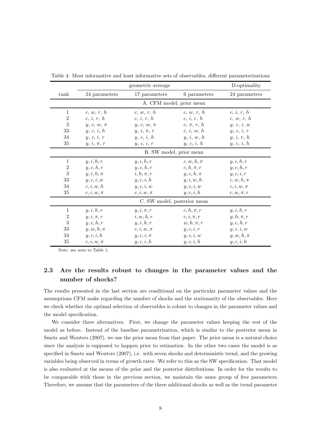|                |                          | D-optimality                |                |                |  |  |  |  |
|----------------|--------------------------|-----------------------------|----------------|----------------|--|--|--|--|
| rank           | 24 parameters            | 17 parameters               | 6 parameters   | 24 parameters  |  |  |  |  |
|                | A. CFM model, prior mean |                             |                |                |  |  |  |  |
| 1              | c, w, r, h               | c, w, r, h                  | c, w, r, h     | c, i, r, h     |  |  |  |  |
| $\overline{2}$ | c, i, r, h               | c, i, r, h                  | c, i, r, h     | c, w, r, h     |  |  |  |  |
| 3              | $y, c, w, \pi$           | $y, c, w, \pi$              | $c, \pi, r, h$ | y, c, i, w     |  |  |  |  |
| 33             | y, c, i, h               | $y, i, \pi, r$              | c, i, w, h     | y, c, i, r     |  |  |  |  |
| 34             | y, c, i, r               | y, c, i, h                  | y, i, w, h     | y, i, r, h     |  |  |  |  |
| 35             | $y, i, \pi, r$           | y, c, i, r                  | y, c, i, h     | y, c, i, h     |  |  |  |  |
|                | B. SW model, prior mean  |                             |                |                |  |  |  |  |
| 1              | y, i, h, r               | y, i, h, r                  | $c, w, h, \pi$ | y, i, h, r     |  |  |  |  |
| $\overline{2}$ | y, c, h, r               | y, c, h, r                  | $c, h, \pi, r$ | y, c, h, r     |  |  |  |  |
| 3              | $y, i, h, \pi$           | $i, h, \pi, r$              | $y, c, h, \pi$ | y, c, i, r     |  |  |  |  |
| 33             | y, c, i, w               | y, c, i, h                  | y, i, w, h     | $c, w, h, \pi$ |  |  |  |  |
| 34             | c, i, w, h               | y, c, i, w                  | y, c, i, w     | $c, i, w, \pi$ |  |  |  |  |
| 35             | $c, i, w, \pi$           | $c, i, w, \pi$              | y, c, i, h     | $c, w, \pi, r$ |  |  |  |  |
|                |                          | C. SW model, posterior mean |                |                |  |  |  |  |
| 1              | y, i, h, r               | $y, i, \pi, r$              | $c, h, \pi, r$ | y, i, h, r     |  |  |  |  |
| $\overline{2}$ | $y, i, \pi, r$           | i, w, h, r                  | $c, i, \pi, r$ | $y, h, \pi, r$ |  |  |  |  |
| 3              | y, c, h, r               | y, i, h, r                  | $w, h, \pi, r$ | y, c, h, r     |  |  |  |  |
| 33             | $y, w, h, \pi$           | $c, i, w, \pi$              | y, c, i, r     | y, c, i, w     |  |  |  |  |
| 34             | y, c, i, h               | $y, c, i, \pi$              | y, c, i, w     | $y, w, h, \pi$ |  |  |  |  |
| 35             | $c, i, w, \pi$           | y, c, i, h                  | y, c, i, h     | y, c, i, h     |  |  |  |  |

Table 4: Most informative and least informative sets of observables, different parameterizations

Note: see note to Table 1.

## 2.3 Are the results robust to changes in the parameter values and the number of shocks?

The results presented in the last section are conditional on the particular parameter values and the assumptions CFM make regarding the number of shocks and the stationarity of the observables. Here we check whether the optimal selection of observables is robust to changes in the parameter values and the model specification.

We consider three alternatives. First, we change the parameter values keeping the rest of the model as before. Instead of the baseline parametrization, which is similar to the posterior mean in Smets and Wouters (2007), we use the prior mean from that paper. The prior mean is a natural choice since the analysis is supposed to happen prior to estimation. In the other two cases the model is as specified in Smets and Wouters (2007), i.e. with seven shocks and deterministic trend, and the growing variables being observed in terms of growth rates. We refer to this as the SW specification. That model is also evaluated at the means of the prior and the posterior distributions. In order for the results to be comparable with those in the previous section, we maintain the same group of free parameters. Therefore, we assume that the parameters of the three additional shocks as well as the trend parameter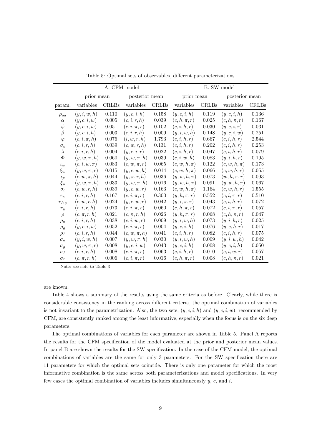|                |                  |              | A. CFM model     |              | B. SW model      |              |                  |              |  |  |
|----------------|------------------|--------------|------------------|--------------|------------------|--------------|------------------|--------------|--|--|
|                | prior mean       |              | posterior mean   |              | prior mean       |              | posterior mean   |              |  |  |
| param.         | variables        | <b>CRLBs</b> | variables        | <b>CRLBs</b> | variables        | <b>CRLBs</b> | variables        | <b>CRLBs</b> |  |  |
| $\rho_{ga}$    | (y, i, w, h)     | 0.110        | (y,c,i,h)        | $0.158\,$    | (y,c,i,h)        | 0.119        | (y,c,i,h)        | $0.136\,$    |  |  |
| $\alpha$       | (y, c, i, w)     | $0.005\,$    | (c, i, r, h)     | $\,0.039\,$  | $(c, h, \pi, r)$ | $\,0.025\,$  | $(c, h, \pi, r)$ | $0.167\,$    |  |  |
| $\psi$         | (y, c, i, w)     | 0.051        | $(c, i, \pi, r)$ | 0.102        | (c, i, h, r)     | 0.030        | (y,c,i,r)        | 0.031        |  |  |
| $\beta$        | (y, c, i, h)     | 0.003        | (c, i, r, h)     | 0.009        | (y, i, w, h)     | 0.148        | (y, c, i, w)     | 0.251        |  |  |
| $\varphi$      | $(c, i, \pi, h)$ | 0.076        | (i, w, r, h)     | 1.793        | (c, i, h, r)     | 0.667        | (c, i, h, r)     | 2.544        |  |  |
| $\sigma_c$     | (c, i, r, h)     | 0.039        | (c, w, r, h)     | 0.131        | (c, i, h, r)     | 0.202        | (c, i, h, r)     | 0.253        |  |  |
| $\lambda$      | (c, i, r, h)     | $0.004\,$    | (y,c,i,r)        | 0.022        | (c, i, h, r)     | 0.047        | (c, i, h, r)     | 0.079        |  |  |
| $\Phi$         | $(y, w, \pi, h)$ | 0.060        | $(y, w, \pi, h)$ | 0.039        | (c, i, w, h)     | 0.083        | (y, i, h, r)     | 0.195        |  |  |
| $\iota_w$      | $(c, i, w, \pi)$ | 0.083        | $(c, w, \pi, r)$ | 0.065        | $(c, w, h, \pi)$ | 0.122        | $(c, w, h, \pi)$ | 0.173        |  |  |
| $\xi_w$        | $(y, w, \pi, r)$ | $0.015\,$    | (y, c, w, h)     | 0.014        | $(c, w, h, \pi)$ | 0.066        | (c, w, h, r)     | 0.055        |  |  |
| $\iota_p$      | $(c, w, \pi, h)$ | 0.044        | $(y, \pi, r, h)$ | 0.036        | $(y, w, h, \pi)$ | 0.073        | $(w, h, \pi, r)$ | 0.093        |  |  |
| $\xi_p$        | $(y, w, \pi, h)$ | 0.033        | $(y, w, \pi, h)$ | 0.016        | $(y, w, h, \pi)$ | $\,0.091\,$  | $(y, w, h, \pi)$ | 0.067        |  |  |
| $\sigma_l$     | (c, w, r, h)     | 0.039        | (y, c, w, r)     | 0.163        | $(c, w, h, \pi)$ | 1.164        | (c, w, h, r)     | 1.555        |  |  |
| $r_{\pi}$      | (c, i, r, h)     | 0.167        | $(c, i, \pi, r)$ | 0.300        | $(y, h, \pi, r)$ | 0.552        | $(c, i, \pi, r)$ | 0.510        |  |  |
| $r_{\Delta y}$ | (c, w, r, h)     | $\,0.024\,$  | (y, c, w, r)     | 0.042        | $(y, i, \pi, r)$ | $\,0.043\,$  | (c, i, h, r)     | 0.072        |  |  |
| $r_y$          | (c, i, r, h)     | 0.073        | $(c, i, \pi, r)$ | 0.060        | $(c, h, \pi, r)$ | 0.072        | $(c, i, \pi, r)$ | 0.057        |  |  |
| $\rho$         | $(c, \pi, r, h)$ | 0.021        | $(c, \pi, r, h)$ | 0.026        | $(y, h, \pi, r)$ | 0.068        | $(c, h, \pi, r)$ | 0.047        |  |  |
| $\rho_a$       | (c, i, r, h)     | 0.038        | (c, i, w, r)     | $0.009\,$    | (y, i, w, h)     | 0.073        | (y, i, h, r)     | $\,0.025\,$  |  |  |
| $\rho_g$       | (y, c, i, w)     | 0.052        | $(c, i, \pi, r)$ | 0.004        | (y, c, i, h)     | 0.076        | (y, c, h, r)     | 0.017        |  |  |
| $\rho_I$       | (c, i, r, h)     | 0.044        | $(c, w, \pi, h)$ | 0.041        | (c, i, h, r)     | 0.082        | (c, i, h, r)     | 0.075        |  |  |
| $\sigma_a$     | (y, i, w, h)     | 0.007        | $(y, w, \pi, h)$ | 0.030        | (y, i, w, h)     | $0.009\,$    | (y, i, w, h)     | 0.042        |  |  |
| $\sigma_g$     | $(y, w, \pi, r)$ | 0.008        | (y, c, i, w)     | 0.043        | (y,c,i,h)        | 0.008        | (y,c,i,h)        | 0.050        |  |  |
| $\sigma_I$     | (c, i, r, h)     | 0.008        | $(c, i, \pi, r)$ | 0.063        | (c, i, h, r)     | $0.010\,$    | (c, i, w, r)     | 0.057        |  |  |
| $\sigma_r$     | $(c, \pi, r, h)$ | 0.006        | $(c, i, \pi, r)$ | 0.016        | $(c, h, \pi, r)$ | 0.008        | $(c, h, \pi, r)$ | 0.021        |  |  |

Table 5: Optimal sets of observables, different parameterizations

Note: see note to Table 3

are known.

Table 4 shows a summary of the results using the same criteria as before. Clearly, while there is considerable consistency in the ranking across different criteria, the optimal combination of variables is not invariant to the parametrization. Also, the two sets,  $(y, c, i, h)$  and  $(y, c, i, w)$ , recommended by CFM, are consistently ranked among the least informative, especially when the focus is on the six deep parameters.

The optimal combinations of variables for each parameter are shown in Table 5. Panel A reports the results for the CFM specification of the model evaluated at the prior and posterior mean values. In panel B are shown the results for the SW specification. In the case of the CFM model, the optimal combinations of variables are the same for only 3 parameters. For the SW specification there are 11 parameters for which the optimal sets coincide. There is only one parameter for which the most informative combination is the same across both parameterizations and model specifications. In very few cases the optimal combination of variables includes simultaneously  $y$ ,  $c$ , and  $i$ .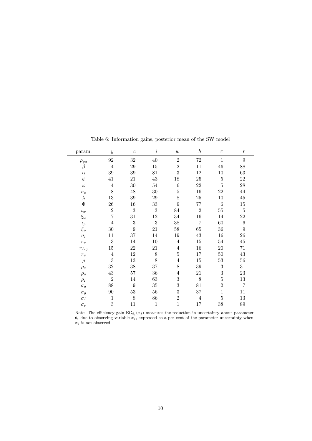| param.               | $\boldsymbol{y}$ | $\boldsymbol{c}$ | $\it i$      | $\boldsymbol{w}$ | $\boldsymbol{h}$ | $\pi$          | $\mathcal{r}$     |
|----------------------|------------------|------------------|--------------|------------------|------------------|----------------|-------------------|
| $\rho_{ga}$          | 92               | 32               | $40\,$       | $\overline{2}$   | $72\,$           | $\mathbf{1}$   | 9                 |
| $\beta$              | $\overline{4}$   | 29               | $15\,$       | $\sqrt{2}$       | 11               | 46             | 88                |
| $\alpha$             | $39\,$           | 39               | 81           | 3                | $12\,$           | 10             | $63\,$            |
| $\psi$               | 41               | 21               | $43\,$       | 18               | 25               | $\bf 5$        | 22                |
| $\varphi$            | $\overline{4}$   | $30\,$           | 54           | $\,6$            | 22               | $\bf 5$        | $\ensuremath{28}$ |
| $\sigma_c$           | 8                | 48               | $30\,$       | $\bf 5$          | 16               | 22             | 44                |
| $\lambda$            | 13               | $39\,$           | 29           | 8                | $25\,$           | $10\,$         | $45\,$            |
| $\Phi$               | ${\bf 26}$       | 16               | 33           | $\overline{9}$   | 77               | $\,6$          | $15\,$            |
| $\iota_w$            | $\overline{2}$   | 3                | 3            | 84               | $\overline{2}$   | $55\,$         | $\overline{5}$    |
| $\xi_w$              | $\overline{7}$   | 31               | 12           | $34\,$           | 16               | 14             | 22                |
| $\iota_p$            | $\overline{4}$   | 3                | 3            | $38\,$           | $\overline{7}$   | 60             | $\,6$             |
| $\xi_p$              | $30\,$           | 9                | 21           | $58\,$           | 65               | 36             | 9                 |
| $\sigma_l$           | 11               | 37               | $14\,$       | $19\,$           | $43\,$           | 16             | ${\bf 26}$        |
| $r_\pi$              | 3                | 14               | 10           | $\overline{4}$   | 15               | $54\,$         | $45\,$            |
| $r_{\triangle y}$    | 15               | 22               | 21           | $\overline{4}$   | 16               | $20\,$         | 71                |
| $r_{\scriptstyle y}$ | $\overline{4}$   | 12               | 8            | 5                | 17               | $50\,$         | $43\,$            |
| $\rho$               | 3                | $13\,$           | 8            | $\overline{4}$   | 15               | $53\,$         | $56\,$            |
| $\rho_a$             | $32\,$           | $38\,$           | 37           | 8                | $39\,$           | $\sqrt{3}$     | 31                |
| $\rho_g$             | $43\,$           | 57               | 36           | $\overline{4}$   | 21               | $\overline{3}$ | $23\,$            |
| $\rho_I$             | $\overline{2}$   | 14               | 63           | $\sqrt{3}$       | 8                | $\bf 5$        | $13\,$            |
| $\sigma_a$           | 88               | $\boldsymbol{9}$ | $35\,$       | $\sqrt{3}$       | 81               | $\overline{2}$ | $\overline{7}$    |
| $\sigma_g$           | 90               | 53               | 56           | 3                | 37               | $\mathbf{1}$   | 11                |
| $\sigma_I$           | $\mathbf{1}$     | 8                | 86           | $\overline{2}$   | $\overline{4}$   | $\overline{5}$ | $13\,$            |
| $\sigma_r$           | 3                | 11               | $\mathbf{1}$ | $\mathbf{1}$     | 17               | $38\,$         | 89                |

Table 6: Information gains, posterior mean of the SW model

Note: The efficiency gain  $EG_{\theta_i}(x_j)$  measures the reduction in uncertainty about parameter  $\theta_i$  due to observing variable  $x_j$ , expressed as a per cent of the parameter uncertainty when  $x_j$  is not observed.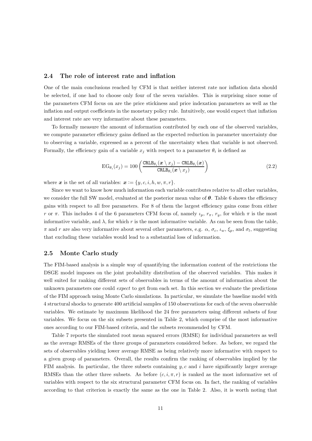#### 2.4 The role of interest rate and inflation

One of the main conclusions reached by CFM is that neither interest rate nor inflation data should be selected, if one had to choose only four of the seven variables. This is surprising since some of the parameters CFM focus on are the price stickiness and price indexation parameters as well as the inflation and output coefficients in the monetary policy rule. Intuitively, one would expect that inflation and interest rate are very informative about these parameters.

To formally measure the amount of information contributed by each one of the observed variables, we compute parameter efficiency gains defined as the expected reduction in parameter uncertainty due to observing a variable, expressed as a percent of the uncertainty when that variable is not observed. Formally, the efficiency gain of a variable  $x_j$  with respect to a parameter  $\theta_i$  is defined as

$$
EG_{\theta_i}(x_j) = 100 \left( \frac{CRLB_{\theta_i}(x \setminus x_j) - CRLB_{\theta_i}(x)}{CRLB_{\theta_i}(x \setminus x_j)} \right)
$$
(2.2)

where x is the set of all variables:  $x := \{y, c, i, h, w, \pi, r\}.$ 

Since we want to know how much information each variable contributes relative to all other variables, we consider the full SW model, evaluated at the posterior mean value of  $\theta$ . Table 6 shows the efficiency gains with respect to all free parameters. For 8 of them the largest efficiency gains come from either r or π. This includes 4 of the 6 parameters CFM focus of, namely  $\iota_p$ ,  $r_{\pi}$ ,  $r_y$ , for which  $\pi$  is the most informative variable, and  $\lambda$ , for which r is the most informative variable. As can be seen from the table,  $\pi$  and r are also very informative about several other parameters, e.g.  $\alpha$ ,  $\sigma_c$ ,  $\iota_w$ ,  $\xi_p$ , and  $\sigma_l$ , suggesting that excluding these variables would lead to a substantial loss of information.

#### 2.5 Monte Carlo study

The FIM-based analysis is a simple way of quantifying the information content of the restrictions the DSGE model imposes on the joint probability distribution of the observed variables. This makes it well suited for ranking different sets of observables in terms of the amount of information about the unknown parameters one could expect to get from each set. In this section we evaluate the predictions of the FIM approach using Monte Carlo simulations. In particular, we simulate the baseline model with 4 structural shocks to generate 400 artificial samples of 150 observations for each of the seven observable variables. We estimate by maximum likelihood the 24 free parameters using different subsets of four variables. We focus on the six subsets presented in Table 2, which comprise of the most informative ones according to our FIM-based criteria, and the subsets recommended by CFM.

Table 7 reports the simulated root mean squared errors (RMSE) for individual parameters as well as the average RMSEs of the three groups of parameters considered before. As before, we regard the sets of observables yielding lower average RMSE as being relatively more informative with respect to a given group of parameters. Overall, the results confirm the ranking of observables implied by the FIM analysis. In particular, the three subsets containing  $y, c$  and i have significantly larger average RMSEs than the other three subsets. As before  $(c, i, \pi, r)$  is ranked as the most informative set of variables with respect to the six structural parameter CFM focus on. In fact, the ranking of variables according to that criterion is exactly the same as the one in Table 2. Also, it is worth noting that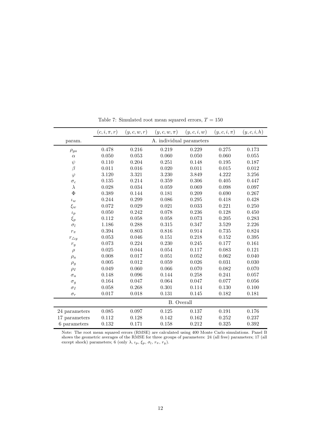|                   | $(c, i, \pi, r)$  | (y, c, w, r) | $(y, c, w, \pi)$         | (y, c, i, w) | $(y,c,i,\pi)$ | (y,c,i,h) |  |
|-------------------|-------------------|--------------|--------------------------|--------------|---------------|-----------|--|
| param.            |                   |              | A. individual parameters |              |               |           |  |
| $\rho_{ga}$       | 0.478             | 0.216        | 0.219                    | 0.229        | 0.275         | 0.173     |  |
| $\alpha$          | 0.050             | 0.053        | 0.060                    | 0.050        | 0.060         | 0.055     |  |
| $\psi$            | 0.110             | 0.204        | 0.251                    | 0.148        | 0.195         | 0.187     |  |
| $\beta$           | 0.011             | 0.016        | 0.020                    | 0.011        | 0.015         | 0.012     |  |
| $\varphi$         | 3.120             | 3.321        | 3.230                    | 3.849        | 4.222         | 3.256     |  |
| $\sigma_c$        | 0.135             | 0.214        | 0.359                    | 0.306        | 0.405         | 0.447     |  |
| $\lambda$         | 0.028             | 0.034        | 0.059                    | 0.069        | 0.098         | 0.097     |  |
| $\Phi$            | 0.389             | 0.144        | 0.181                    | 0.209        | 0.690         | 0.267     |  |
| $\iota_w$         | 0.244             | 0.299        | 0.086                    | 0.295        | 0.418         | 0.428     |  |
| $\xi_w$           | 0.072             | 0.029        | 0.021                    | 0.033        | 0.221         | 0.250     |  |
| $\iota_p$         | 0.050             | 0.242        | 0.078                    | 0.236        | 0.128         | 0.450     |  |
| $\xi_p$           | 0.112             | 0.058        | 0.058                    | 0.073        | 0.205         | 0.283     |  |
| $\sigma_l$        | 1.186             | 0.288        | 0.315                    | 0.347        | 3.529         | 2.226     |  |
| $r_{\pi}$         | 0.394             | 0.803        | 0.816                    | 0.914        | 0.735         | 0.824     |  |
| $r_{\triangle y}$ | 0.053             | 0.046        | 0.151                    | 0.218        | 0.152         | 0.395     |  |
| $r_y$             | 0.073             | 0.224        | 0.230                    | 0.245        | 0.177         | 0.161     |  |
| $\rho$            | 0.025             | 0.044        | 0.054                    | 0.117        | 0.083         | 0.121     |  |
| $\rho_a$          | 0.008             | 0.017        | 0.051                    | 0.052        | 0.062         | 0.040     |  |
| $\rho_g$          | 0.005             | 0.012        | 0.059                    | 0.026        | 0.031         | 0.030     |  |
| $\rho_I$          | 0.049             | 0.060        | 0.066                    | 0.070        | 0.082         | 0.070     |  |
| $\sigma_a$        | 0.148             | $\,0.096\,$  | 0.144                    | 0.258        | 0.241         | 0.057     |  |
| $\sigma_g$        | 0.164             | 0.047        | 0.064                    | 0.047        | 0.077         | 0.056     |  |
| $\sigma_I$        | 0.058             | 0.268        | $0.301\,$                | 0.114        | 0.130         | 0.100     |  |
| $\sigma_r$        | 0.017             | 0.018        | 0.131                    | 0.145        | 0.182         | 0.181     |  |
|                   | <b>B.</b> Overall |              |                          |              |               |           |  |
| 24 parameters     | 0.085             | 0.097        | 0.125                    | 0.137        | 0.191         | 0.176     |  |
| 17 parameters     | 0.112             | 0.128        | 0.142                    | 0.162        | 0.252         | 0.237     |  |
| 6 parameters      | 0.132             | 0.171        | 0.158                    | 0.212        | 0.325         | 0.392     |  |

Table 7: Simulated root mean squared errors,  $T=150\,$ 

Note: The root mean squared errors (RMSE) are calculated using 400 Monte Carlo simulations. Panel B shows the geometric averages of the RMSE for three groups of parameters: 24 (all free) parameters; 17 (all except shock) parameters; 6 (only  $\lambda$ ,  $\iota_p$ ,  $\xi_p$ ,  $\sigma_l$ ,  $r_{\pi}$ ,  $r_y$ ).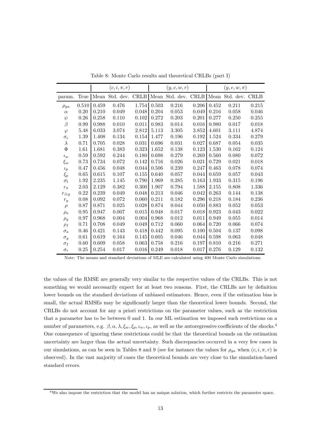|                   |          | $(c, i, \pi, r)$ |       |             |       | (y, c, w, r)                                                |       |       | $(y, c, w, \pi)$ |           |  |
|-------------------|----------|------------------|-------|-------------|-------|-------------------------------------------------------------|-------|-------|------------------|-----------|--|
| param.            | True     |                  |       |             |       | Mean Std. dev. CRLB Mean Std. dev. CRLB Mean Std. dev. CRLB |       |       |                  |           |  |
| $\rho_{ga}$       | 0.510    | 0.459            | 0.476 | 1.754       | 0.503 | 0.216                                                       | 0.206 | 0.452 | 0.211            | 0.215     |  |
| $\alpha$          | 0.20     | 0.210            | 0.049 | 0.048       | 0.204 | 0.053                                                       | 0.049 | 0.216 | 0.058            | 0.046     |  |
| $\psi$            | $0.26\,$ | 0.258            | 0.110 | 0.102       | 0.272 | 0.203                                                       | 0.201 | 0.277 | 0.250            | 0.255     |  |
| $\beta$           | 0.99     | 0.988            | 0.010 | 0.011       | 0.983 | 0.014                                                       | 0.016 | 0.980 | 0.017            | 0.018     |  |
| $\varphi$         | 5.48     | 6.033            | 3.074 | 2.812       | 5.113 | 3.305                                                       | 3.852 | 4.601 | 3.111            | 4.874     |  |
| $\sigma_c$        | 1.39     | 1.408            | 0.134 | $0.154\,$   | 1.477 | 0.196                                                       | 0.192 | 1.524 | $0.334\,$        | 0.279     |  |
| $\lambda$         | 0.71     | 0.705            | 0.028 | 0.031       | 0.696 | 0.031                                                       | 0.027 | 0.687 | 0.054            | 0.035     |  |
| $\Phi$            | 1.61     | 1.681            | 0.383 | 0.323       | 1.652 | 0.138                                                       | 0.123 | 1.530 | 0.162            | 0.124     |  |
| $\iota_w$         | 0.59     | 0.592            | 0.244 | 0.180       | 0.698 | 0.279                                                       | 0.269 | 0.560 | 0.080            | 0.072     |  |
| $\xi_w$           | 0.73     | 0.734            | 0.072 | $0.142\,$   | 0.716 | 0.026                                                       | 0.021 | 0.729 | 0.021            | 0.018     |  |
| $\iota_p$         | 0.47     | 0.456            | 0.048 | 0.044       | 0.506 | 0.239                                                       | 0.247 | 0.463 | 0.078            | 0.074     |  |
| $\xi_p$           | $0.65\,$ | 0.615            | 0.107 | $0.155\,$   | 0.640 | 0.057                                                       | 0.044 | 0.659 | 0.057            | 0.043     |  |
| $\sigma_l$        | 1.92     | 2.235            | 1.145 | 0.790       | 1.969 | 0.285                                                       | 0.163 | 1.933 | 0.315            | 0.196     |  |
| $r_{\pi}$         | 2.03     | 2.129            | 0.382 | $0.300\,$   | 1.907 | 0.794                                                       | 1.588 | 2.155 | 0.808            | $1.336\,$ |  |
| $r_{\triangle y}$ | 0.22     | 0.239            | 0.049 | 0.048       | 0.213 | 0.046                                                       | 0.042 | 0.263 | 0.144            | 0.138     |  |
| $r_y$             | 0.08     | 0.092            | 0.072 | 0.060       | 0.211 | 0.182                                                       | 0.296 | 0.218 | 0.184            | 0.236     |  |
| $\rho$            | 0.87     | 0.871            | 0.025 | 0.028       | 0.874 | 0.044                                                       | 0.050 | 0.883 | 0.052            | 0.053     |  |
| $\rho_a$          | 0.95     | 0.947            | 0.007 | $\,0.015\,$ | 0.948 | 0.017                                                       | 0.018 | 0.923 | 0.043            | 0.022     |  |
| $\rho_g$          | 0.97     | 0.968            | 0.004 | 0.004       | 0.968 | 0.012                                                       | 0.011 | 0.949 | 0.055            | 0.014     |  |
| $\rho_I$          | 0.71     | 0.708            | 0.049 | 0.049       | 0.712 | 0.060                                                       | 0.064 | 0.720 | 0.066            | 0.074     |  |
| $\sigma_a$        | 0.46     | 0.421            | 0.143 | 0.418       | 0.442 | 0.095                                                       | 0.100 | 0.504 | 0.137            | 0.098     |  |
| $\sigma_q$        | 0.61     | 0.619            | 0.164 | $0.145\,$   | 0.605 | 0.046                                                       | 0.044 | 0.598 | 0.063            | 0.048     |  |
| $\sigma_I$        | 0.60     | 0.609            | 0.058 | 0.063       | 0.758 | 0.216                                                       | 0.197 | 0.810 | 0.216            | 0.271     |  |
| $\sigma_r$        | 0.25     | 0.254            | 0.017 | 0.016       | 0.249 | 0.018                                                       | 0.017 | 0.276 | 0.129            | 0.132     |  |

Table 8: Monte Carlo results and theoretical CRLBs (part I)

Note: The means and standard deviations of MLE are calculated using 400 Monte Carlo simulations.

the values of the RMSE are generally very similar to the respective values of the CRLBs. This is not something we would necessarily expect for at least two reasons. First, the CRLBs are by definition lower bounds on the standard deviations of unbiased estimators. Hence, even if the estimation bias is small, the actual RMSEs may be significantly larger than the theoretical lower bounds. Second, the CRLBs do not account for any a priori restrictions on the parameter values, such as the restriction that a parameter has to be between 0 and 1. In our ML estimation we imposed such restrictions on a number of parameters, e.g.  $\beta$ ,  $\alpha$ ,  $\lambda$ ,  $\xi_w$ ,  $\xi_p$ ,  $\iota_w$ ,  $\iota_p$ , as well as the autoregressive coefficients of the shocks.<sup>4</sup> One consequence of ignoring these restrictions could be that the theoretical bounds on the estimation uncertainty are larger than the actual uncertainty. Such discrepancies occurred in a very few cases in our simulations, as can be seen in Tables 8 and 9 (see for instance the values for  $\rho_{ga}$  when  $(c, i, \pi, r)$  is observed). In the vast majority of cases the theoretical bounds are very close to the simulation-based standard errors.

<sup>4</sup>We also impose the restriction that the model has an unique solution, which further restricts the parameter space.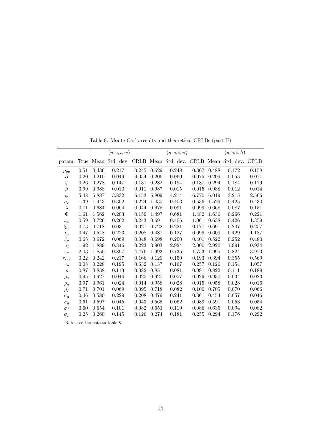|                |      |           | (y, c, i, w)   |             |           | $(y,c,i,\pi)$  |             |             | (y,c,i,h)      |             |
|----------------|------|-----------|----------------|-------------|-----------|----------------|-------------|-------------|----------------|-------------|
| param.         | True |           | Mean Std. dev. | <b>CRLB</b> |           | Mean Std. dev. | <b>CRLB</b> |             | Mean Std. dev. | <b>CRLB</b> |
| $\rho_{qa}$    | 0.51 | 0.436     | 0.217          | 0.245       | 0.629     | 0.248          | 0.307       | 0.488       | 0.172          | 0.158       |
| $\alpha$       | 0.20 | 0.210     | 0.049          | 0.054       | 0.206     | 0.060          | 0.075       | 0.209       | 0.055          | 0.071       |
| $\psi$         | 0.26 | 0.278     | 0.147          | 0.131       | 0.282     | 0.194          | 0.187       | 0.294       | 0.184          | 0.179       |
| B              | 0.99 | 0.988     | 0.010          | 0.011       | 0.987     | 0.015          | 0.015       | 0.988       | 0.012          | 0.014       |
| $\varphi$      | 5.48 | 5.887     | 3.832          | 6.153       | 5.809     | 4.214          | 6.770       | 6.019       | 3.215          | 2.566       |
| $\sigma_c$     | 1.39 | 1.443     | $0.302\,$      | 0.224       | 1.435     | 0.403          | 0.536       | 1.529       | 0.425          | 0.430       |
| $\lambda$      | 0.71 | 0.684     | 0.064          | 0.044       | $0.675\,$ | 0.091          | 0.099       | 0.668       | 0.087          | 0.151       |
| Φ              | 1.61 | 1.562     | 0.203          | 0.159       | 1.497     | 0.681          | 1.482       | 1.636       | 0.266          | 0.221       |
| $\iota_w$      | 0.59 | 0.726     | 0.262          | 0.243       | 0.691     | 0.406          | 1.061       | 0.638       | 0.426          | 1.359       |
| $\xi_w$        | 0.73 | 0.718     | 0.031          | 0.021       | 0.722     | 0.221          | 0.177       | 0.691       | 0.247          | 0.257       |
| $\iota_p$      | 0.47 | 0.548     | 0.223          | 0.208       | 0.487     | 0.127          | 0.099       | 0.609       | 0.429          | 1.187       |
| $\xi_p$        | 0.65 | 0.672     | 0.069          | 0.048       | 0.698     | 0.200          | 0.401       | 0.522       | 0.252          | 0.480       |
| $\sigma_l$     | 1.92 | 1.889     | 0.346          | 0.223       | 3.903     | 2.924          | 2.000       | 2.920       | 1.991          | 0.934       |
| $r_{\pi}$      | 2.03 | $1.850\,$ | 0.897          | 4.476       | 1.993     | 0.735          | 1.753       | 1.995       | 0.824          | 3.973       |
| $r_{\Delta y}$ | 0.22 | 0.242     | 0.217          | 0.166       | 0.120     | 0.150          | 0.193       | $\,0.394\,$ | 0.355          | 0.569       |
| $r_y$          | 0.08 | 0.228     | 0.195          | 0.632       | 0.137     | 0.167          | 0.257       | 0.126       | 0.154          | 1.057       |
| $\rho$         | 0.87 | 0.838     | 0.113          | 0.082       | 0.851     | 0.081          | 0.091       | 0.822       | 0.111          | 0.189       |
| $\rho_a$       | 0.95 | 0.927     | 0.046          | 0.025       | 0.925     | 0.057          | 0.029       | 0.930       | 0.034          | 0.023       |
| $\rho_g$       | 0.97 | 0.961     | 0.024          | 0.014       | 0.958     | 0.028          | 0.015       | 0.958       | 0.028          | 0.016       |
| $\rho_I$       | 0.71 | 0.701     | 0.069          | $\,0.095\,$ | 0.718     | 0.082          | 0.100       | 0.705       | 0.070          | 0.066       |
| $\sigma_a$     | 0.46 | 0.580     | 0.229          | 0.208       | 0.479     | 0.241          | 0.361       | 0.454       | 0.057          | 0.046       |
| $\sigma_q$     | 0.61 | 0.597     | 0.045          | 0.043       | 0.565     | 0.062          | 0.089       | 0.591       | 0.053          | 0.054       |
| $\sigma_I$     | 0.60 | 0.654     | 0.101          | 0.082       | 0.653     | 0.119          | 0.086       | 0.635       | 0.094          | 0.082       |
| $\sigma_r$     | 0.25 | 0.260     | 0.145          | 0.126       | 0.274     | 0.181          | 0.255       | 0.294       | 0.176          | 0.292       |

Table 9: Monte Carlo results and theoretical CRLBs (part II)

Note: see the note to table 8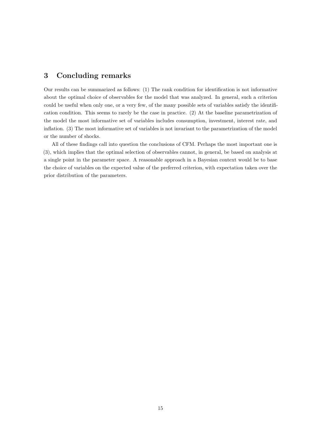## 3 Concluding remarks

Our results can be summarized as follows: (1) The rank condition for identification is not informative about the optimal choice of observables for the model that was analyzed. In general, such a criterion could be useful when only one, or a very few, of the many possible sets of variables satisfy the identification condition. This seems to rarely be the case in practice. (2) At the baseline parametrization of the model the most informative set of variables includes consumption, investment, interest rate, and inflation. (3) The most informative set of variables is not invariant to the parametrization of the model or the number of shocks.

All of these findings call into question the conclusions of CFM. Perhaps the most important one is (3), which implies that the optimal selection of observables cannot, in general, be based on analysis at a single point in the parameter space. A reasonable approach in a Bayesian context would be to base the choice of variables on the expected value of the preferred criterion, with expectation taken over the prior distribution of the parameters.